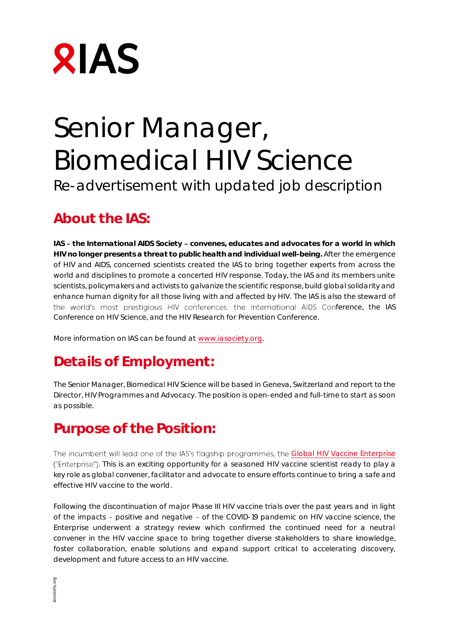

# Senior Manager, Biomedical HIV Science Re-advertisement with updated job description

#### **About the IAS:**

IAS - the International AIDS Society - convenes, educates and advocates for a world in which **HIV no longer presents a threat to public health and individual well-being.** After the emergence of HIV and AIDS, concerned scientists created the IAS to bring together experts from across the world and disciplines to promote a concerted HIV response. Today, the IAS and its members unite scientists, policymakers and activists to galvanize the scientific response, build global solidarity and enhance human dignity for all those living with and affected by HIV. The IAS is also the steward of the world's most prestigious HIV conferences: the International AIDS Conference, the IAS Conference on HIV Science, and the HIV Research for Prevention Conference.

More information on IAS can be found at www.iasociety.org.

# **Details of Employment:**

The Senior Manager, Biomedical HIV Science will be based in Geneva, Switzerland and report to the Director, HIV Programmes and Advocacy. The position is open-ended and full-time to start as soon as possible.

#### **Purpose of the Position:**

The incumbent will lead one of the IAS's flagship programmes, the Global HIV Vaccine Enterprise . This is an exciting opportunity for a seasoned HIV vaccine scientist ready to play a key role as global convener, facilitator and advocate to ensure efforts continue to bring a safe and effective HIV vaccine to the world.

Following the discontinuation of major Phase III HIV vaccine trials over the past years and in light of the impacts - positive and negative - of the COVID-19 pandemic on HIV vaccine science, the Enterprise underwent a strategy review which confirmed the continued need for a neutral convener in the HIV vaccine space to bring together diverse stakeholders to share knowledge, foster collaboration, enable solutions and expand support critical to accelerating discovery, development and future access to an HIV vaccine.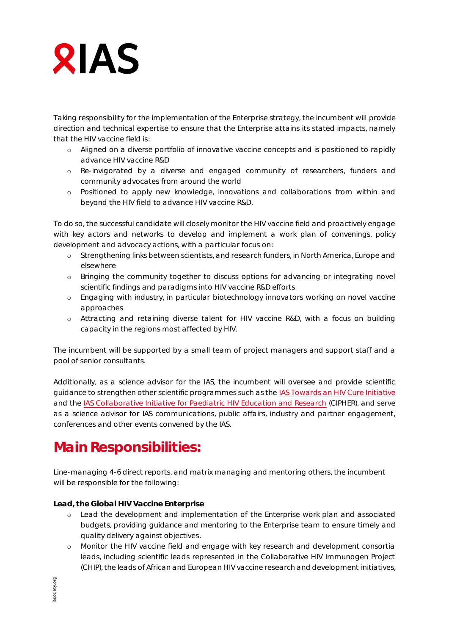# **RIAS**

Taking responsibility for the implementation of the Enterprise strategy, the incumbent will provide direction and technical expertise to ensure that the Enterprise attains its stated impacts, namely that the HIV vaccine field is:

- o Aligned on a diverse portfolio of innovative vaccine concepts and is positioned to rapidly advance HIV vaccine R&D
- o Re-invigorated by a diverse and engaged community of researchers, funders and community advocates from around the world
- o Positioned to apply new knowledge, innovations and collaborations from within and beyond the HIV field to advance HIV vaccine R&D.

To do so, the successful candidate will closely monitor the HIV vaccine field and proactively engage with key actors and networks to develop and implement a work plan of *convenings, policy development* and *advocacy actions*, with a particular focus on:

- o Strengthening links between scientists, and research funders, in North America, Europe and elsewhere
- o Bringing the community together to discuss options for advancing or integrating novel scientific findings and paradigms into HIV vaccine R&D efforts
- o Engaging with industry, in particular biotechnology innovators working on novel vaccine approaches
- o Attracting and retaining diverse talent for HIV vaccine R&D, with a focus on building capacity in the regions most affected by HIV.

The incumbent will be supported by a small team of project managers and support staff and a pool of senior consultants.

Additionally, as a science advisor for the IAS, the incumbent will oversee and provide scientific guidance to strengthen other scientific programmes such as the IAS Towards an HIV Cure Initiative and the IAS Collaborative Initiative for Paediatric HIV Education and Research (CIPHER), and serve as a science advisor for IAS communications, public affairs, industry and partner engagement, conferences and other events convened by the IAS.

### **Main Responsibilities:**

Line-managing 4-6 direct reports, and matrix managing and mentoring others, the incumbent will be responsible for the following:

**Lead, the Global HIV Vaccine Enterprise**

- o Lead the development and implementation of the Enterprise work plan and associated budgets, providing guidance and mentoring to the Enterprise team to ensure timely and quality delivery against objectives.
- o Monitor the HIV vaccine field and engage with key research and development consortia leads, including scientific leads represented in the Collaborative HIV Immunogen Project (CHIP), the leads of African and European HIV vaccine research and development initiatives,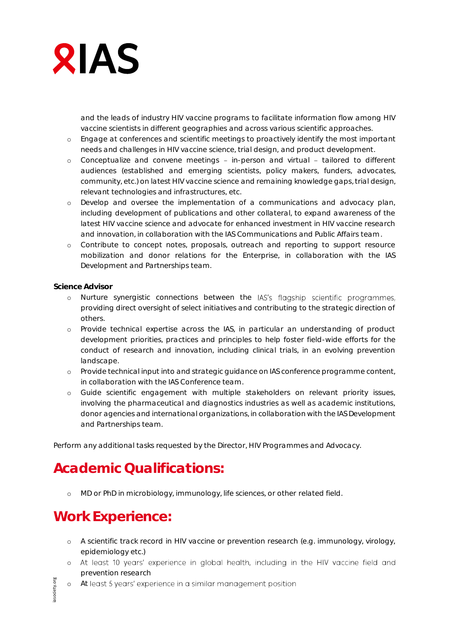

and the leads of industry HIV vaccine programs to facilitate information flow among HIV vaccine scientists in different geographies and across various scientific approaches.

- o Engage at conferences and scientific meetings to proactively identify the most important needs and challenges in HIV vaccine science, trial design, and product development.
- o Conceptualize and convene meetings in-person and virtual tailored to different audiences (established and emerging scientists, policy makers, funders, advocates, community, etc.) on latest HIV vaccine science and remaining knowledge gaps, trial design, relevant technologies and infrastructures, etc.
- o Develop and oversee the implementation of a communications and advocacy plan, including development of publications and other collateral, to expand awareness of the latest HIV vaccine science and advocate for enhanced investment in HIV vaccine research and innovation, in collaboration with the IAS Communications and Public Affairs team.
- o Contribute to concept notes, proposals, outreach and reporting to support resource mobilization and donor relations for the Enterprise, in collaboration with the IAS Development and Partnerships team.

**Science Advisor**

- o Nurture synergistic connections between the IAS's flagship scientific programmes, providing direct oversight of select initiatives and contributing to the strategic direction of others.
- o Provide technical expertise across the IAS, in particular an understanding of product development priorities, practices and principles to help foster field-wide efforts for the conduct of research and innovation, including clinical trials, in an evolving prevention landscape.
- o Provide technical input into and strategic guidance on IAS conference programme content, in collaboration with the IAS Conference team.
- o Guide scientific engagement with multiple stakeholders on relevant priority issues, involving the pharmaceutical and diagnostics industries as well as academic institutions, donor agencies and international organizations, in collaboration with the IAS Development and Partnerships team.

Perform any additional tasks requested by the Director, HIV Programmes and Advocacy.

#### **Academic Qualifications:**

o MD or PhD in microbiology, immunology, life sciences, or other related field.

#### **Work Experience:**

- o A scientific track record in HIV vaccine or prevention research (e.g. immunology, virology, epidemiology etc.)
- o At least 10 years' experience in global health, including in the HIV vaccine field and prevention research
- o At least 5 years' experience in a similar management position